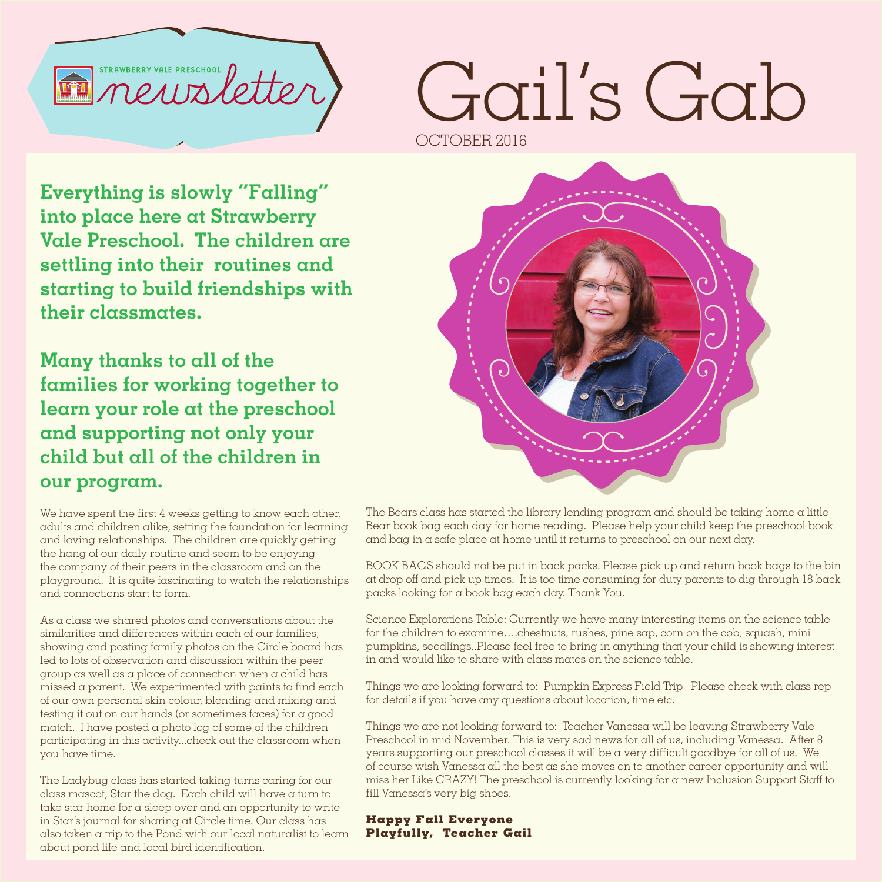

## Gail's Gab OCTOBER 2016

**Everything is slowly "Falling" into place here at Strawberry Vale Preschool. The children are settling into their routines and starting to build friendships with their classmates.**

**Many thanks to all of the families for working together to learn your role at the preschool and supporting not only your child but all of the children in our program.**

We have spent the first 4 weeks getting to know each other, adults and children alike, setting the foundation for learning and loving relationships. The children are quickly getting the hang of our daily routine and seem to be enjoying the company of their peers in the classroom and on the playground. It is quite fascinating to watch the relationships and connections start to form.

As a class we shared photos and conversations about the similarities and differences within each of our families, showing and posting family photos on the Circle board has led to lots of observation and discussion within the peer group as well as a place of connection when a child has missed a parent. We experimented with paints to find each of our own personal skin colour, blending and mixing and testing it out on our hands (or sometimes faces) for a good match. I have posted a photo log of some of the children participating in this activity...check out the classroom when you have time.

The Ladybug class has started taking turns caring for our class mascot, Star the dog. Each child will have a turn to take star home for a sleep over and an opportunity to write in Star's journal for sharing at Circle time. Our class has also taken a trip to the Pond with our local naturalist to learn about pond life and local bird identification.



The Bears class has started the library lending program and should be taking home  $\alpha$  little Bear book bag each day for home reading. Please help your child keep the preschool book and bag in a safe place at home until it returns to preschool on our next day.

BOOK BAGS should not be put in back packs. Please pick up and return book bags to the bin at drop off and pick up times. It is too time consuming for duty parents to dig through 18 back packs looking for a book bag each day. Thank You.

Science Explorations Table: Currently we have many interesting items on the science table for the children to examine….chestnuts, rushes, pine sap, corn on the cob, squash, mini pumpkins, seedlings..Please feel free to bring in anything that your child is showing interest in and would like to share with class mates on the science table.

Things we are looking forward to: Pumpkin Express Field Trip Please check with class rep for details if you have any questions about location, time etc.

Things we are not looking forward to: Teacher Vanessa will be leaving Strawberry Vale Preschool in mid November. This is very sad news for all of us, including Vanessa. After 8 years supporting our preschool classes it will be a very difficult goodbye for all of us. We of course wish Vanessa all the best as she moves on to another career opportunity and will miss her Like CRAZY! The preschool is currently looking for a new Inclusion Support Staff to fill Vanessa's very big shoes.

**Happy Fall Everyone Playfully, Teacher Gail**